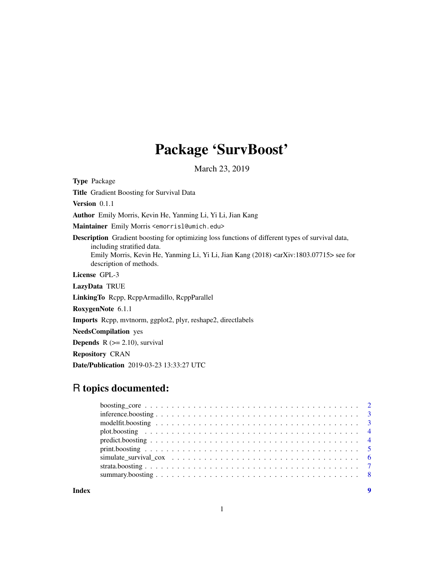# Package 'SurvBoost'

March 23, 2019

Type Package Title Gradient Boosting for Survival Data Version 0.1.1 Author Emily Morris, Kevin He, Yanming Li, Yi Li, Jian Kang Maintainer Emily Morris <emorrisl@umich.edu> Description Gradient boosting for optimizing loss functions of different types of survival data, including stratified data. Emily Morris, Kevin He, Yanming Li, Yi Li, Jian Kang (2018) <arXiv:1803.07715> see for description of methods. License GPL-3 LazyData TRUE LinkingTo Rcpp, RcppArmadillo, RcppParallel RoxygenNote 6.1.1 Imports Rcpp, mvtnorm, ggplot2, plyr, reshape2, directlabels NeedsCompilation yes **Depends**  $R$  ( $>= 2.10$ ), survival Repository CRAN

# R topics documented:

Date/Publication 2019-03-23 13:33:27 UTC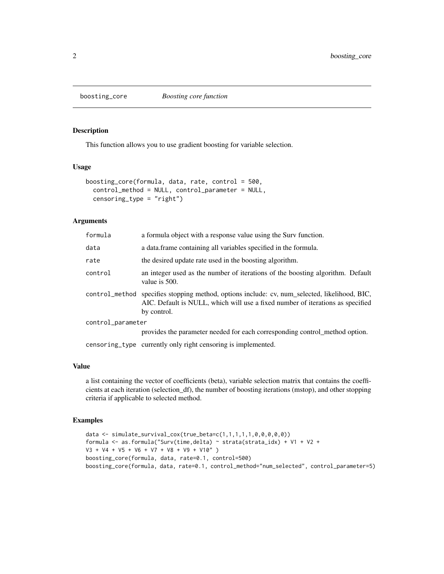<span id="page-1-0"></span>

#### Description

This function allows you to use gradient boosting for variable selection.

# Usage

```
boosting_core(formula, data, rate, control = 500,
  control_method = NULL, control_parameter = NULL,
  censoring_type = "right")
```
# Arguments

| formula           | a formula object with a response value using the Surv function.                                                                                                                                |
|-------------------|------------------------------------------------------------------------------------------------------------------------------------------------------------------------------------------------|
| data              | a data frame containing all variables specified in the formula.                                                                                                                                |
| rate              | the desired update rate used in the boosting algorithm.                                                                                                                                        |
| control           | an integer used as the number of iterations of the boosting algorithm. Default<br>value is 500.                                                                                                |
|                   | control_method specifies stopping method, options include: cv, num_selected, likelihood, BIC,<br>AIC. Default is NULL, which will use a fixed number of iterations as specified<br>by control. |
| control_parameter |                                                                                                                                                                                                |
|                   | provides the parameter needed for each corresponding control_method option.                                                                                                                    |

censoring\_type currently only right censoring is implemented.

#### Value

a list containing the vector of coefficients (beta), variable selection matrix that contains the coefficients at each iteration (selection\_df), the number of boosting iterations (mstop), and other stopping criteria if applicable to selected method.

```
data <- simulate_survival_cox(true_beta=c(1,1,1,1,1,0,0,0,0,0))
formula <- as.formula("Surv(time,delta) ~ strata(strata_idx) + V1 + V2 +
V3 + V4 + V5 + V6 + V7 + V8 + V9 + V10" )
boosting_core(formula, data, rate=0.1, control=500)
boosting_core(formula, data, rate=0.1, control_method="num_selected", control_parameter=5)
```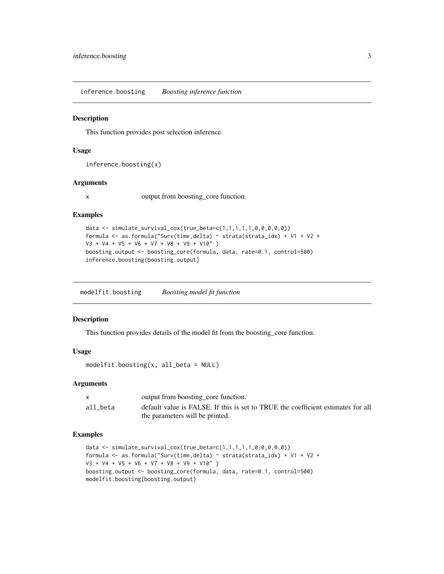<span id="page-2-0"></span>inference.boosting *Boosting inference function*

#### **Description**

This function provides post selection inference.

#### Usage

```
inference.boosting(x)
```
#### Arguments

x output from boosting\_core function.

### Examples

```
data \leq simulate_survival_cox(true_beta=c(1,1,1,1,1,0,0,0,0,0))
formula <- as.formula("Surv(time,delta) ~ strata(strata_idx) + V1 + V2 +
V3 + V4 + V5 + V6 + V7 + V8 + V9 + V10" )
boosting.output <- boosting_core(formula, data, rate=0.1, control=500)
inference.boosting(boosting.output)
```
modelfit.boosting *Boosting model fit function*

# Description

This function provides details of the model fit from the boosting\_core function.

#### Usage

modelfit.boosting(x, all\_beta = NULL)

#### Arguments

|          | output from boosting_core function.                                              |
|----------|----------------------------------------------------------------------------------|
| all beta | default value is FALSE. If this is set to TRUE the coefficient estimates for all |
|          | the parameters will be printed.                                                  |

```
data <- simulate_survival_cox(true_beta=c(1,1,1,1,1,0,0,0,0,0))
formula <- as.formula("Surv(time,delta) ~ strata(strata_idx) + V1 + V2 +
V3 + V4 + V5 + V6 + V7 + V8 + V9 + V10" )
boosting.output <- boosting_core(formula, data, rate=0.1, control=500)
modelfit.boosting(boosting.output)
```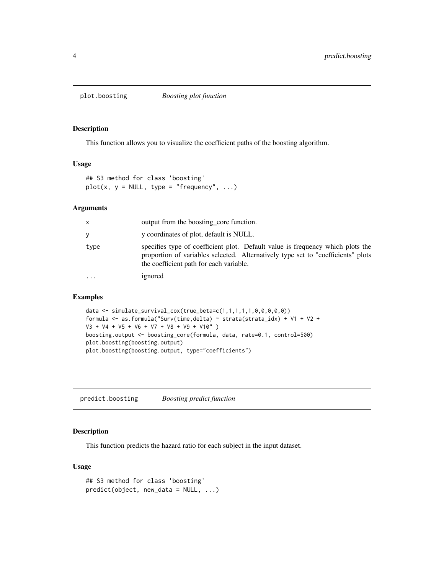<span id="page-3-0"></span>

#### Description

This function allows you to visualize the coefficient paths of the boosting algorithm.

# Usage

```
## S3 method for class 'boosting'
plot(x, y = NULL, type = "frequency", ...)
```
# Arguments

| X        | output from the boosting core function.                                                                                                                                                                       |
|----------|---------------------------------------------------------------------------------------------------------------------------------------------------------------------------------------------------------------|
| У        | y coordinates of plot, default is NULL.                                                                                                                                                                       |
| type     | specifies type of coefficient plot. Default value is frequency which plots the<br>proportion of variables selected. Alternatively type set to "coefficients" plots<br>the coefficient path for each variable. |
| $\cdots$ | ignored                                                                                                                                                                                                       |

# Examples

```
data <- simulate_survival_cox(true_beta=c(1,1,1,1,1,0,0,0,0,0))
formula <- as.formula("Surv(time,delta) ~ strata(strata_idx) + V1 + V2 +
V3 + V4 + V5 + V6 + V7 + V8 + V9 + V10" )
boosting.output <- boosting_core(formula, data, rate=0.1, control=500)
plot.boosting(boosting.output)
plot.boosting(boosting.output, type="coefficients")
```
predict.boosting *Boosting predict function*

# Description

This function predicts the hazard ratio for each subject in the input dataset.

# Usage

```
## S3 method for class 'boosting'
predict(object, new_data = NULL, ...)
```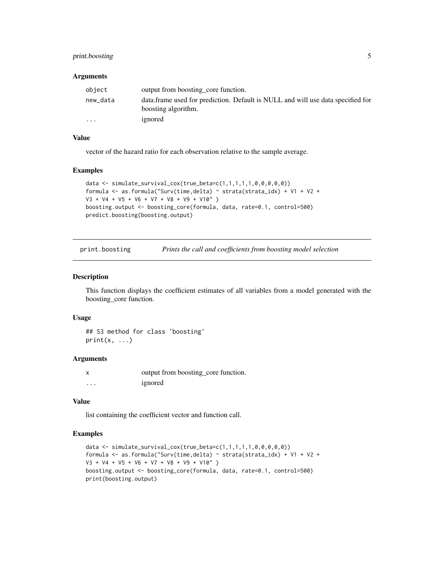# <span id="page-4-0"></span>print.boosting 5

#### **Arguments**

| object   | output from boosting core function.                                                                    |
|----------|--------------------------------------------------------------------------------------------------------|
| new_data | data frame used for prediction. Default is NULL and will use data specified for<br>boosting algorithm. |
| $\cdots$ | ignored                                                                                                |

#### Value

vector of the hazard ratio for each observation relative to the sample average.

#### Examples

```
data \le simulate_survival_cox(true_beta=c(1,1,1,1,1,0,0,0,0,0))
formula <- as.formula("Surv(time,delta) ~ strata(strata_idx) + V1 + V2 +
V3 + V4 + V5 + V6 + V7 + V8 + V9 + V10" )
boosting.output <- boosting_core(formula, data, rate=0.1, control=500)
predict.boosting(boosting.output)
```
print.boosting *Prints the call and coefficients from boosting model selection*

#### Description

This function displays the coefficient estimates of all variables from a model generated with the boosting\_core function.

#### Usage

## S3 method for class 'boosting'  $print(x, \ldots)$ 

# Arguments

|   | output from boosting_core function. |
|---|-------------------------------------|
| . | ignored                             |

#### Value

list containing the coefficient vector and function call.

```
data <- simulate_survival_cox(true_beta=c(1,1,1,1,1,0,0,0,0,0))
formula <- as.formula("Surv(time,delta) ~ strata(strata_idx) + V1 + V2 +
V3 + V4 + V5 + V6 + V7 + V8 + V9 + V10" )
boosting.output <- boosting_core(formula, data, rate=0.1, control=500)
print(boosting.output)
```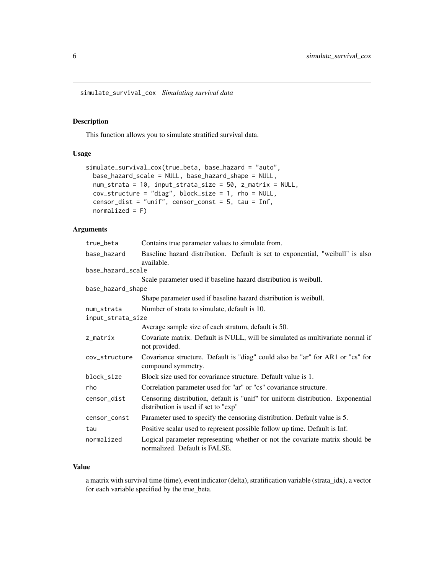<span id="page-5-0"></span>simulate\_survival\_cox *Simulating survival data*

#### Description

This function allows you to simulate stratified survival data.

### Usage

```
simulate_survival_cox(true_beta, base_hazard = "auto",
 base_hazard_scale = NULL, base_hazard_shape = NULL,
 num_strata = 10, input_strata_size = 50, z_matrix = NULL,
 cov_structure = "diag", block_size = 1, rho = NULL,
 censor_dist = "unif", censor_const = 5, tau = Inf,
 normalized = F)
```
# Arguments

| true_beta         | Contains true parameter values to simulate from.                                                                        |
|-------------------|-------------------------------------------------------------------------------------------------------------------------|
| base_hazard       | Baseline hazard distribution. Default is set to exponential, "weibull" is also<br>available.                            |
| base_hazard_scale |                                                                                                                         |
|                   | Scale parameter used if baseline hazard distribution is weibull.                                                        |
| base_hazard_shape |                                                                                                                         |
|                   | Shape parameter used if baseline hazard distribution is weibull.                                                        |
| num strata        | Number of strata to simulate, default is 10.                                                                            |
| input_strata_size |                                                                                                                         |
|                   | Average sample size of each stratum, default is 50.                                                                     |
| z_matrix          | Covariate matrix. Default is NULL, will be simulated as multivariate normal if<br>not provided.                         |
| cov_structure     | Covariance structure. Default is "diag" could also be "ar" for AR1 or "cs" for<br>compound symmetry.                    |
| block_size        | Block size used for covariance structure. Default value is 1.                                                           |
| rho               | Correlation parameter used for "ar" or "cs" covariance structure.                                                       |
| censor_dist       | Censoring distribution, default is "unif" for uniform distribution. Exponential<br>distribution is used if set to "exp" |
| censor_const      | Parameter used to specify the censoring distribution. Default value is 5.                                               |
| tau               | Positive scalar used to represent possible follow up time. Default is Inf.                                              |
| normalized        | Logical parameter representing whether or not the covariate matrix should be<br>normalized. Default is FALSE.           |

### Value

a matrix with survival time (time), event indicator (delta), stratification variable (strata\_idx), a vector for each variable specified by the true\_beta.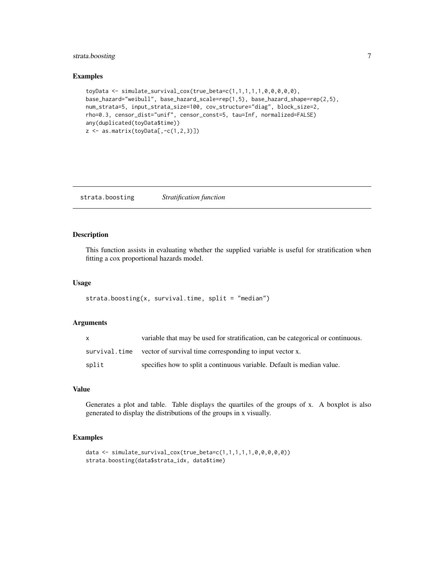# <span id="page-6-0"></span>strata.boosting 7

#### Examples

```
toyData <- simulate_survival_cox(true_beta=c(1,1,1,1,1,0,0,0,0,0),
base_hazard="weibull", base_hazard_scale=rep(1,5), base_hazard_shape=rep(2,5),
num_strata=5, input_strata_size=100, cov_structure="diag", block_size=2,
rho=0.3, censor_dist="unif", censor_const=5, tau=Inf, normalized=FALSE)
any(duplicated(toyData$time))
z \leftarrow \text{as_matrix}(toyData[, -c(1,2,3)]
```
strata.boosting *Stratification function*

# Description

This function assists in evaluating whether the supplied variable is useful for stratification when fitting a cox proportional hazards model.

# Usage

strata.boosting(x, survival.time, split = "median")

# Arguments

| X     | variable that may be used for stratification, can be categorical or continuous. |
|-------|---------------------------------------------------------------------------------|
|       | survival, time vector of survival time corresponding to input vector x.         |
| split | specifies how to split a continuous variable. Default is median value.          |

# Value

Generates a plot and table. Table displays the quartiles of the groups of x. A boxplot is also generated to display the distributions of the groups in x visually.

```
data <- simulate_survival_cox(true_beta=c(1,1,1,1,1,0,0,0,0,0))
strata.boosting(data$strata_idx, data$time)
```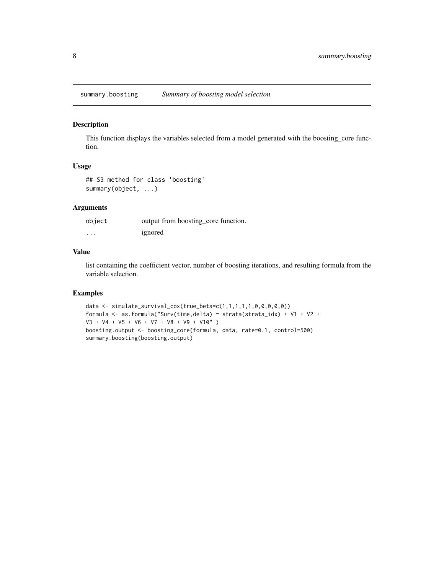<span id="page-7-0"></span>summary.boosting *Summary of boosting model selection*

### Description

This function displays the variables selected from a model generated with the boosting\_core function.

#### Usage

## S3 method for class 'boosting' summary(object, ...)

# Arguments

| object   | output from boosting_core function. |
|----------|-------------------------------------|
| $\cdots$ | ignored                             |

# Value

list containing the coefficient vector, number of boosting iterations, and resulting formula from the variable selection.

```
data <- simulate_survival_cox(true_beta=c(1,1,1,1,1,0,0,0,0,0))
formula <- as.formula("Surv(time,delta) ~ strata(strata_idx) + V1 + V2 +
V3 + V4 + V5 + V6 + V7 + V8 + V9 + V10" )
boosting.output <- boosting_core(formula, data, rate=0.1, control=500)
summary.boosting(boosting.output)
```